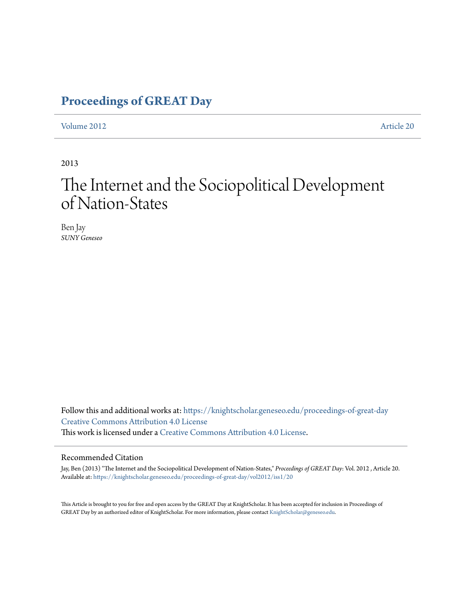# **[Proceedings of GREAT Day](https://knightscholar.geneseo.edu/proceedings-of-great-day?utm_source=knightscholar.geneseo.edu%2Fproceedings-of-great-day%2Fvol2012%2Fiss1%2F20&utm_medium=PDF&utm_campaign=PDFCoverPages)**

[Volume 2012](https://knightscholar.geneseo.edu/proceedings-of-great-day/vol2012?utm_source=knightscholar.geneseo.edu%2Fproceedings-of-great-day%2Fvol2012%2Fiss1%2F20&utm_medium=PDF&utm_campaign=PDFCoverPages) [Article 20](https://knightscholar.geneseo.edu/proceedings-of-great-day/vol2012/iss1/20?utm_source=knightscholar.geneseo.edu%2Fproceedings-of-great-day%2Fvol2012%2Fiss1%2F20&utm_medium=PDF&utm_campaign=PDFCoverPages)

2013

# The Internet and the Sociopolitical Development of Nation-States

Ben Jay *SUNY Geneseo*

Follow this and additional works at: [https://knightscholar.geneseo.edu/proceedings-of-great-day](https://knightscholar.geneseo.edu/proceedings-of-great-day?utm_source=knightscholar.geneseo.edu%2Fproceedings-of-great-day%2Fvol2012%2Fiss1%2F20&utm_medium=PDF&utm_campaign=PDFCoverPages) [Creative Commons Attribution 4.0 License](http://creativecommons.org/licenses/by/4.0/) This work is licensed under a [Creative Commons Attribution 4.0 License.](http://creativecommons.org/licenses/by/4.0/)

#### Recommended Citation

Jay, Ben (2013) "The Internet and the Sociopolitical Development of Nation-States," *Proceedings of GREAT Day*: Vol. 2012 , Article 20. Available at: [https://knightscholar.geneseo.edu/proceedings-of-great-day/vol2012/iss1/20](https://knightscholar.geneseo.edu/proceedings-of-great-day/vol2012/iss1/20?utm_source=knightscholar.geneseo.edu%2Fproceedings-of-great-day%2Fvol2012%2Fiss1%2F20&utm_medium=PDF&utm_campaign=PDFCoverPages)

This Article is brought to you for free and open access by the GREAT Day at KnightScholar. It has been accepted for inclusion in Proceedings of GREAT Day by an authorized editor of KnightScholar. For more information, please contact [KnightScholar@geneseo.edu.](mailto:KnightScholar@geneseo.edu)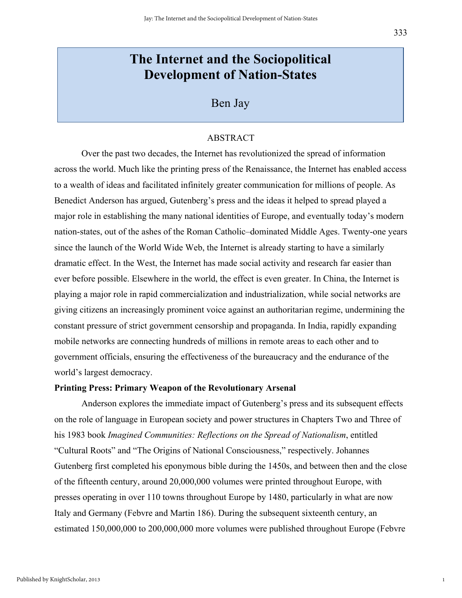# **The Internet and the Sociopolitical Development of Nation-States**

### Ben Jay

#### ABSTRACT

Over the past two decades, the Internet has revolutionized the spread of information across the world. Much like the printing press of the Renaissance, the Internet has enabled access to a wealth of ideas and facilitated infinitely greater communication for millions of people. As Benedict Anderson has argued, Gutenberg's press and the ideas it helped to spread played a major role in establishing the many national identities of Europe, and eventually today's modern nation-states, out of the ashes of the Roman Catholic–dominated Middle Ages. Twenty-one years since the launch of the World Wide Web, the Internet is already starting to have a similarly dramatic effect. In the West, the Internet has made social activity and research far easier than ever before possible. Elsewhere in the world, the effect is even greater. In China, the Internet is playing a major role in rapid commercialization and industrialization, while social networks are giving citizens an increasingly prominent voice against an authoritarian regime, undermining the constant pressure of strict government censorship and propaganda. In India, rapidly expanding mobile networks are connecting hundreds of millions in remote areas to each other and to government officials, ensuring the effectiveness of the bureaucracy and the endurance of the world's largest democracy.

#### **Printing Press: Primary Weapon of the Revolutionary Arsenal**

Anderson explores the immediate impact of Gutenberg's press and its subsequent effects on the role of language in European society and power structures in Chapters Two and Three of his 1983 book *Imagined Communities: Reflections on the Spread of Nationalism*, entitled "Cultural Roots" and "The Origins of National Consciousness," respectively. Johannes Gutenberg first completed his eponymous bible during the 1450s, and between then and the close of the fifteenth century, around 20,000,000 volumes were printed throughout Europe, with presses operating in over 110 towns throughout Europe by 1480, particularly in what are now Italy and Germany (Febvre and Martin 186). During the subsequent sixteenth century, an estimated 150,000,000 to 200,000,000 more volumes were published throughout Europe (Febvre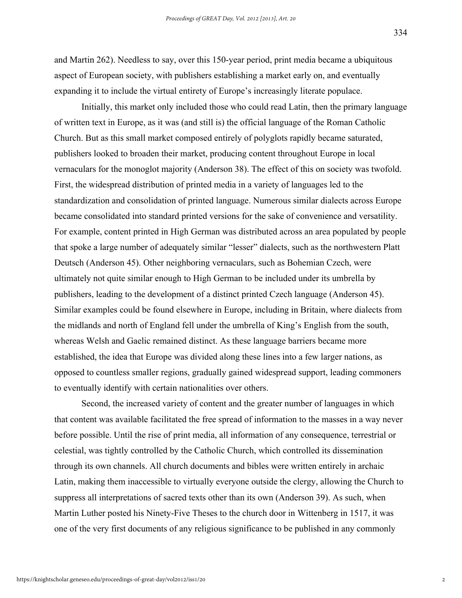334

and Martin 262). Needless to say, over this 150-year period, print media became a ubiquitous aspect of European society, with publishers establishing a market early on, and eventually expanding it to include the virtual entirety of Europe's increasingly literate populace.

Initially, this market only included those who could read Latin, then the primary language of written text in Europe, as it was (and still is) the official language of the Roman Catholic Church. But as this small market composed entirely of polyglots rapidly became saturated, publishers looked to broaden their market, producing content throughout Europe in local vernaculars for the monoglot majority (Anderson 38). The effect of this on society was twofold. First, the widespread distribution of printed media in a variety of languages led to the standardization and consolidation of printed language. Numerous similar dialects across Europe became consolidated into standard printed versions for the sake of convenience and versatility. For example, content printed in High German was distributed across an area populated by people that spoke a large number of adequately similar "lesser" dialects, such as the northwestern Platt Deutsch (Anderson 45). Other neighboring vernaculars, such as Bohemian Czech, were ultimately not quite similar enough to High German to be included under its umbrella by publishers, leading to the development of a distinct printed Czech language (Anderson 45). Similar examples could be found elsewhere in Europe, including in Britain, where dialects from the midlands and north of England fell under the umbrella of King's English from the south, whereas Welsh and Gaelic remained distinct. As these language barriers became more established, the idea that Europe was divided along these lines into a few larger nations, as opposed to countless smaller regions, gradually gained widespread support, leading commoners to eventually identify with certain nationalities over others.

Second, the increased variety of content and the greater number of languages in which that content was available facilitated the free spread of information to the masses in a way never before possible. Until the rise of print media, all information of any consequence, terrestrial or celestial, was tightly controlled by the Catholic Church, which controlled its dissemination through its own channels. All church documents and bibles were written entirely in archaic Latin, making them inaccessible to virtually everyone outside the clergy, allowing the Church to suppress all interpretations of sacred texts other than its own (Anderson 39). As such, when Martin Luther posted his Ninety-Five Theses to the church door in Wittenberg in 1517, it was one of the very first documents of any religious significance to be published in any commonly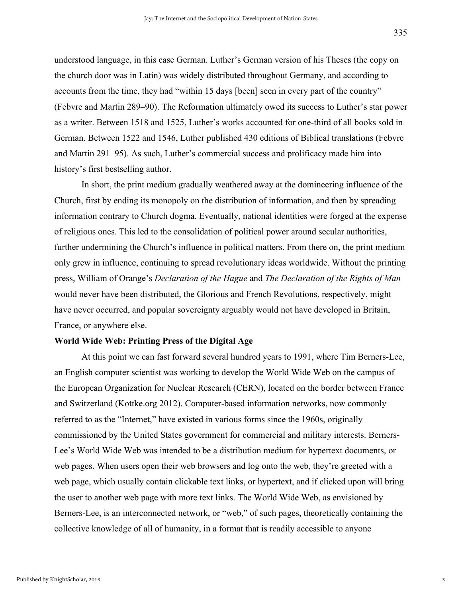understood language, in this case German. Luther's German version of his Theses (the copy on the church door was in Latin) was widely distributed throughout Germany, and according to accounts from the time, they had "within 15 days [been] seen in every part of the country" (Febvre and Martin 289–90). The Reformation ultimately owed its success to Luther's star power as a writer. Between 1518 and 1525, Luther's works accounted for one-third of all books sold in German. Between 1522 and 1546, Luther published 430 editions of Biblical translations (Febvre and Martin 291–95). As such, Luther's commercial success and prolificacy made him into history's first bestselling author.

In short, the print medium gradually weathered away at the domineering influence of the Church, first by ending its monopoly on the distribution of information, and then by spreading information contrary to Church dogma. Eventually, national identities were forged at the expense of religious ones. This led to the consolidation of political power around secular authorities, further undermining the Church's influence in political matters. From there on, the print medium only grew in influence, continuing to spread revolutionary ideas worldwide. Without the printing press, William of Orange's *Declaration of the Hague* and *The Declaration of the Rights of Man* would never have been distributed, the Glorious and French Revolutions, respectively, might have never occurred, and popular sovereignty arguably would not have developed in Britain, France, or anywhere else.

#### **World Wide Web: Printing Press of the Digital Age**

At this point we can fast forward several hundred years to 1991, where Tim Berners-Lee, an English computer scientist was working to develop the World Wide Web on the campus of the European Organization for Nuclear Research (CERN), located on the border between France and Switzerland (Kottke.org 2012). Computer-based information networks, now commonly referred to as the "Internet," have existed in various forms since the 1960s, originally commissioned by the United States government for commercial and military interests. Berners-Lee's World Wide Web was intended to be a distribution medium for hypertext documents, or web pages. When users open their web browsers and log onto the web, they're greeted with a web page, which usually contain clickable text links, or hypertext, and if clicked upon will bring the user to another web page with more text links. The World Wide Web, as envisioned by Berners-Lee, is an interconnected network, or "web," of such pages, theoretically containing the collective knowledge of all of humanity, in a format that is readily accessible to anyone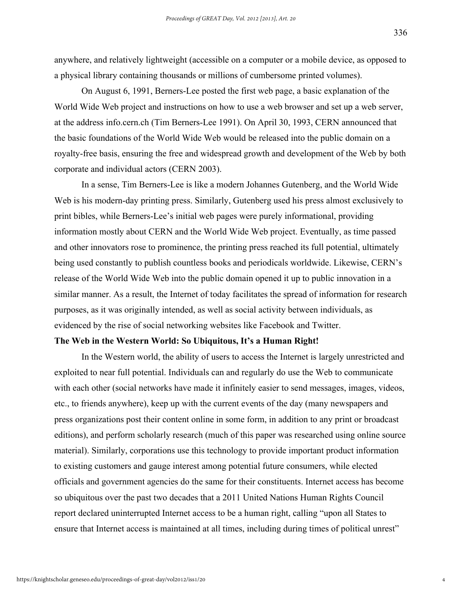anywhere, and relatively lightweight (accessible on a computer or a mobile device, as opposed to a physical library containing thousands or millions of cumbersome printed volumes).

On August 6, 1991, Berners-Lee posted the first web page, a basic explanation of the World Wide Web project and instructions on how to use a web browser and set up a web server, at the address info.cern.ch (Tim Berners-Lee 1991). On April 30, 1993, CERN announced that the basic foundations of the World Wide Web would be released into the public domain on a royalty-free basis, ensuring the free and widespread growth and development of the Web by both corporate and individual actors (CERN 2003).

In a sense, Tim Berners-Lee is like a modern Johannes Gutenberg, and the World Wide Web is his modern-day printing press. Similarly, Gutenberg used his press almost exclusively to print bibles, while Berners-Lee's initial web pages were purely informational, providing information mostly about CERN and the World Wide Web project. Eventually, as time passed and other innovators rose to prominence, the printing press reached its full potential, ultimately being used constantly to publish countless books and periodicals worldwide. Likewise, CERN's release of the World Wide Web into the public domain opened it up to public innovation in a similar manner. As a result, the Internet of today facilitates the spread of information for research purposes, as it was originally intended, as well as social activity between individuals, as evidenced by the rise of social networking websites like Facebook and Twitter.

#### **The Web in the Western World: So Ubiquitous, It's a Human Right!**

In the Western world, the ability of users to access the Internet is largely unrestricted and exploited to near full potential. Individuals can and regularly do use the Web to communicate with each other (social networks have made it infinitely easier to send messages, images, videos, etc., to friends anywhere), keep up with the current events of the day (many newspapers and press organizations post their content online in some form, in addition to any print or broadcast editions), and perform scholarly research (much of this paper was researched using online source material). Similarly, corporations use this technology to provide important product information to existing customers and gauge interest among potential future consumers, while elected officials and government agencies do the same for their constituents. Internet access has become so ubiquitous over the past two decades that a 2011 United Nations Human Rights Council report declared uninterrupted Internet access to be a human right, calling "upon all States to ensure that Internet access is maintained at all times, including during times of political unrest"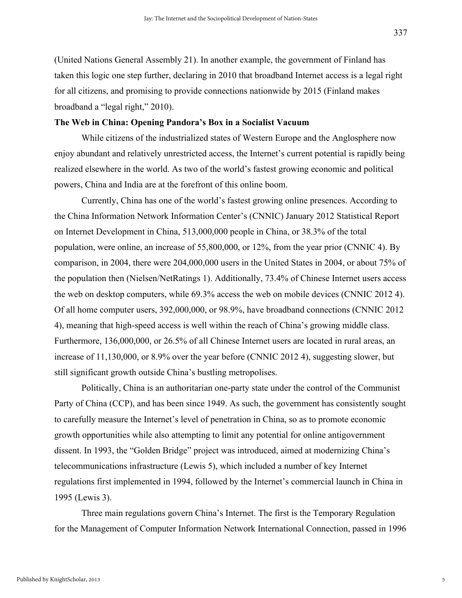(United Nations General Assembly 21). In another example, the government of Finland has taken this logic one step further, declaring in 2010 that broadband Internet access is a legal right for all citizens, and promising to provide connections nationwide by 2015 (Finland makes broadband a "legal right," 2010).

#### **The Web in China: Opening Pandora's Box in a Socialist Vacuum**

While citizens of the industrialized states of Western Europe and the Anglosphere now enjoy abundant and relatively unrestricted access, the Internet's current potential is rapidly being realized elsewhere in the world. As two of the world's fastest growing economic and political powers, China and India are at the forefront of this online boom.

Currently, China has one of the world's fastest growing online presences. According to the China Information Network Information Center's (CNNIC) January 2012 Statistical Report on Internet Development in China, 513,000,000 people in China, or 38.3% of the total population, were online, an increase of 55,800,000, or 12%, from the year prior (CNNIC 4). By comparison, in 2004, there were 204,000,000 users in the United States in 2004, or about 75% of the population then (Nielsen/NetRatings 1). Additionally, 73.4% of Chinese Internet users access the web on desktop computers, while 69.3% access the web on mobile devices (CNNIC 2012 4). Of all home computer users, 392,000,000, or 98.9%, have broadband connections (CNNIC 2012 4), meaning that high-speed access is well within the reach of China's growing middle class. Furthermore, 136,000,000, or 26.5% of all Chinese Internet users are located in rural areas, an increase of 11,130,000, or 8.9% over the year before (CNNIC 2012 4), suggesting slower, but still significant growth outside China's bustling metropolises.

Politically, China is an authoritarian one-party state under the control of the Communist Party of China (CCP), and has been since 1949. As such, the government has consistently sought to carefully measure the Internet's level of penetration in China, so as to promote economic growth opportunities while also attempting to limit any potential for online antigovernment dissent. In 1993, the "Golden Bridge" project was introduced, aimed at modernizing China's telecommunications infrastructure (Lewis 5), which included a number of key Internet regulations first implemented in 1994, followed by the Internet's commercial launch in China in 1995 (Lewis 3).

Three main regulations govern China's Internet. The first is the Temporary Regulation for the Management of Computer Information Network International Connection, passed in 1996

5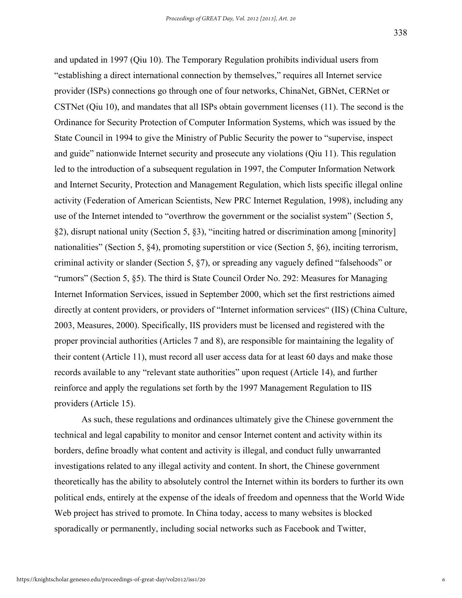and updated in 1997 (Qiu 10). The Temporary Regulation prohibits individual users from "establishing a direct international connection by themselves," requires all Internet service provider (ISPs) connections go through one of four networks, ChinaNet, GBNet, CERNet or CSTNet (Qiu 10), and mandates that all ISPs obtain government licenses (11). The second is the Ordinance for Security Protection of Computer Information Systems, which was issued by the State Council in 1994 to give the Ministry of Public Security the power to "supervise, inspect and guide" nationwide Internet security and prosecute any violations (Qiu 11). This regulation led to the introduction of a subsequent regulation in 1997, the Computer Information Network and Internet Security, Protection and Management Regulation, which lists specific illegal online activity (Federation of American Scientists, New PRC Internet Regulation, 1998), including any use of the Internet intended to "overthrow the government or the socialist system" (Section 5, §2), disrupt national unity (Section 5, §3), "inciting hatred or discrimination among [minority] nationalities" (Section 5, §4), promoting superstition or vice (Section 5, §6), inciting terrorism, criminal activity or slander (Section 5, §7), or spreading any vaguely defined "falsehoods" or "rumors" (Section 5, §5). The third is State Council Order No. 292: Measures for Managing Internet Information Services, issued in September 2000, which set the first restrictions aimed directly at content providers, or providers of "Internet information services" (IIS) (China Culture, 2003, Measures, 2000). Specifically, IIS providers must be licensed and registered with the proper provincial authorities (Articles 7 and 8), are responsible for maintaining the legality of their content (Article 11), must record all user access data for at least 60 days and make those records available to any "relevant state authorities" upon request (Article 14), and further reinforce and apply the regulations set forth by the 1997 Management Regulation to IIS providers (Article 15).

As such, these regulations and ordinances ultimately give the Chinese government the technical and legal capability to monitor and censor Internet content and activity within its borders, define broadly what content and activity is illegal, and conduct fully unwarranted investigations related to any illegal activity and content. In short, the Chinese government theoretically has the ability to absolutely control the Internet within its borders to further its own political ends, entirely at the expense of the ideals of freedom and openness that the World Wide Web project has strived to promote. In China today, access to many websites is blocked sporadically or permanently, including social networks such as Facebook and Twitter,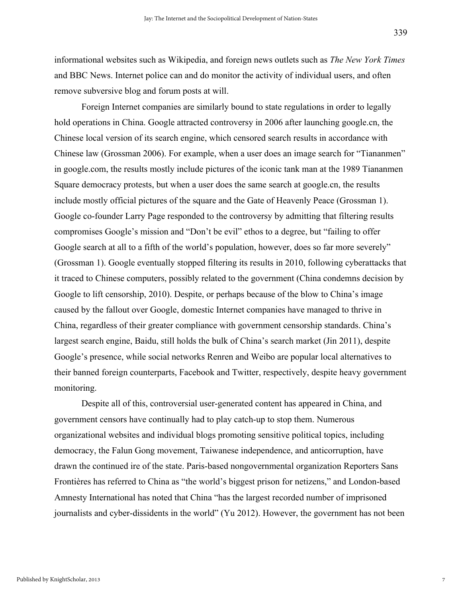informational websites such as Wikipedia, and foreign news outlets such as *The New York Times* and BBC News. Internet police can and do monitor the activity of individual users, and often remove subversive blog and forum posts at will.

Foreign Internet companies are similarly bound to state regulations in order to legally hold operations in China. Google attracted controversy in 2006 after launching google.cn, the Chinese local version of its search engine, which censored search results in accordance with Chinese law (Grossman 2006). For example, when a user does an image search for "Tiananmen" in google.com, the results mostly include pictures of the iconic tank man at the 1989 Tiananmen Square democracy protests, but when a user does the same search at google.cn, the results include mostly official pictures of the square and the Gate of Heavenly Peace (Grossman 1). Google co-founder Larry Page responded to the controversy by admitting that filtering results compromises Google's mission and "Don't be evil" ethos to a degree, but "failing to offer Google search at all to a fifth of the world's population, however, does so far more severely" (Grossman 1). Google eventually stopped filtering its results in 2010, following cyberattacks that it traced to Chinese computers, possibly related to the government (China condemns decision by Google to lift censorship, 2010). Despite, or perhaps because of the blow to China's image caused by the fallout over Google, domestic Internet companies have managed to thrive in China, regardless of their greater compliance with government censorship standards. China's largest search engine, Baidu, still holds the bulk of China's search market (Jin 2011), despite Google's presence, while social networks Renren and Weibo are popular local alternatives to their banned foreign counterparts, Facebook and Twitter, respectively, despite heavy government monitoring.

Despite all of this, controversial user-generated content has appeared in China, and government censors have continually had to play catch-up to stop them. Numerous organizational websites and individual blogs promoting sensitive political topics, including democracy, the Falun Gong movement, Taiwanese independence, and anticorruption, have drawn the continued ire of the state. Paris-based nongovernmental organization Reporters Sans Frontières has referred to China as "the world's biggest prison for netizens," and London-based Amnesty International has noted that China "has the largest recorded number of imprisoned journalists and cyber-dissidents in the world" (Yu 2012). However, the government has not been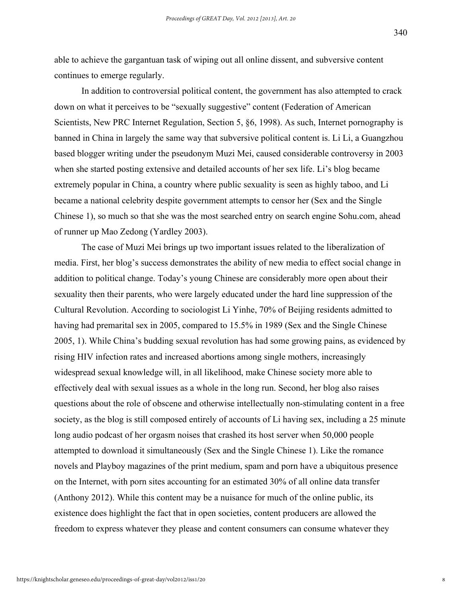able to achieve the gargantuan task of wiping out all online dissent, and subversive content continues to emerge regularly.

In addition to controversial political content, the government has also attempted to crack down on what it perceives to be "sexually suggestive" content (Federation of American Scientists, New PRC Internet Regulation, Section 5, §6, 1998). As such, Internet pornography is banned in China in largely the same way that subversive political content is. Li Li, a Guangzhou based blogger writing under the pseudonym Muzi Mei, caused considerable controversy in 2003 when she started posting extensive and detailed accounts of her sex life. Li's blog became extremely popular in China, a country where public sexuality is seen as highly taboo, and Li became a national celebrity despite government attempts to censor her (Sex and the Single Chinese 1), so much so that she was the most searched entry on search engine Sohu.com, ahead of runner up Mao Zedong (Yardley 2003).

The case of Muzi Mei brings up two important issues related to the liberalization of media. First, her blog's success demonstrates the ability of new media to effect social change in addition to political change. Today's young Chinese are considerably more open about their sexuality then their parents, who were largely educated under the hard line suppression of the Cultural Revolution. According to sociologist Li Yinhe, 70% of Beijing residents admitted to having had premarital sex in 2005, compared to 15.5% in 1989 (Sex and the Single Chinese 2005, 1). While China's budding sexual revolution has had some growing pains, as evidenced by rising HIV infection rates and increased abortions among single mothers, increasingly widespread sexual knowledge will, in all likelihood, make Chinese society more able to effectively deal with sexual issues as a whole in the long run. Second, her blog also raises questions about the role of obscene and otherwise intellectually non-stimulating content in a free society, as the blog is still composed entirely of accounts of Li having sex, including a 25 minute long audio podcast of her orgasm noises that crashed its host server when 50,000 people attempted to download it simultaneously (Sex and the Single Chinese 1). Like the romance novels and Playboy magazines of the print medium, spam and porn have a ubiquitous presence on the Internet, with porn sites accounting for an estimated 30% of all online data transfer (Anthony 2012). While this content may be a nuisance for much of the online public, its existence does highlight the fact that in open societies, content producers are allowed the freedom to express whatever they please and content consumers can consume whatever they

8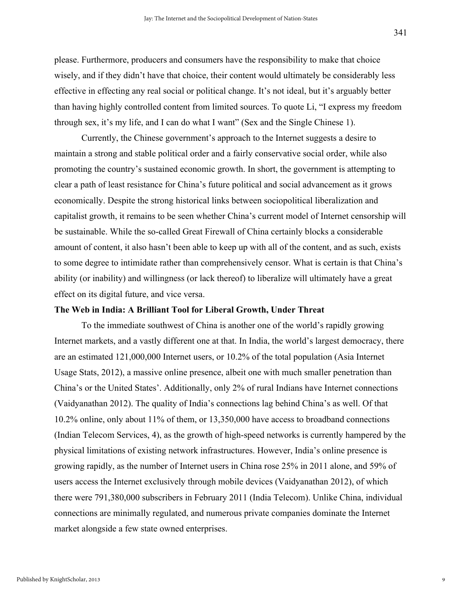please. Furthermore, producers and consumers have the responsibility to make that choice wisely, and if they didn't have that choice, their content would ultimately be considerably less effective in effecting any real social or political change. It's not ideal, but it's arguably better than having highly controlled content from limited sources. To quote Li, "I express my freedom through sex, it's my life, and I can do what I want" (Sex and the Single Chinese 1).

Currently, the Chinese government's approach to the Internet suggests a desire to maintain a strong and stable political order and a fairly conservative social order, while also promoting the country's sustained economic growth. In short, the government is attempting to clear a path of least resistance for China's future political and social advancement as it grows economically. Despite the strong historical links between sociopolitical liberalization and capitalist growth, it remains to be seen whether China's current model of Internet censorship will be sustainable. While the so-called Great Firewall of China certainly blocks a considerable amount of content, it also hasn't been able to keep up with all of the content, and as such, exists to some degree to intimidate rather than comprehensively censor. What is certain is that China's ability (or inability) and willingness (or lack thereof) to liberalize will ultimately have a great effect on its digital future, and vice versa.

#### **The Web in India: A Brilliant Tool for Liberal Growth, Under Threat**

To the immediate southwest of China is another one of the world's rapidly growing Internet markets, and a vastly different one at that. In India, the world's largest democracy, there are an estimated 121,000,000 Internet users, or 10.2% of the total population (Asia Internet Usage Stats, 2012), a massive online presence, albeit one with much smaller penetration than China's or the United States'. Additionally, only 2% of rural Indians have Internet connections (Vaidyanathan 2012). The quality of India's connections lag behind China's as well. Of that 10.2% online, only about 11% of them, or 13,350,000 have access to broadband connections (Indian Telecom Services, 4), as the growth of high-speed networks is currently hampered by the physical limitations of existing network infrastructures. However, India's online presence is growing rapidly, as the number of Internet users in China rose 25% in 2011 alone, and 59% of users access the Internet exclusively through mobile devices (Vaidyanathan 2012), of which there were 791,380,000 subscribers in February 2011 (India Telecom). Unlike China, individual connections are minimally regulated, and numerous private companies dominate the Internet market alongside a few state owned enterprises.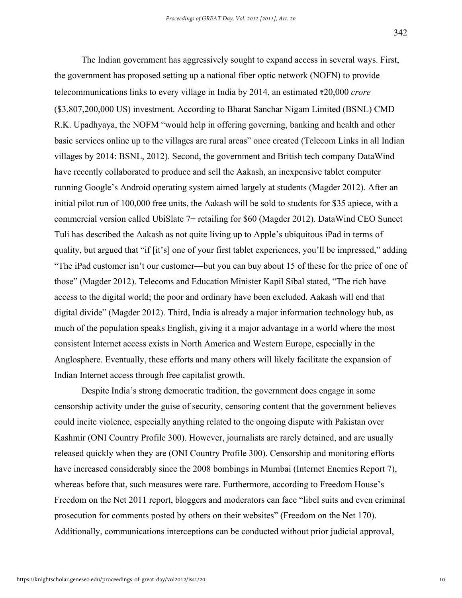The Indian government has aggressively sought to expand access in several ways. First, the government has proposed setting up a national fiber optic network (NOFN) to provide telecommunications links to every village in India by 2014, an estimated ₹20,000 *crore* (\$3,807,200,000 US) investment. According to Bharat Sanchar Nigam Limited (BSNL) CMD R.K. Upadhyaya, the NOFM "would help in offering governing, banking and health and other basic services online up to the villages are rural areas" once created (Telecom Links in all Indian villages by 2014: BSNL, 2012). Second, the government and British tech company DataWind have recently collaborated to produce and sell the Aakash, an inexpensive tablet computer running Google's Android operating system aimed largely at students (Magder 2012). After an initial pilot run of 100,000 free units, the Aakash will be sold to students for \$35 apiece, with a commercial version called UbiSlate 7+ retailing for \$60 (Magder 2012). DataWind CEO Suneet Tuli has described the Aakash as not quite living up to Apple's ubiquitous iPad in terms of quality, but argued that "if [it's] one of your first tablet experiences, you'll be impressed," adding "The iPad customer isn't our customer—but you can buy about 15 of these for the price of one of those" (Magder 2012). Telecoms and Education Minister Kapil Sibal stated, "The rich have access to the digital world; the poor and ordinary have been excluded. Aakash will end that digital divide" (Magder 2012). Third, India is already a major information technology hub, as much of the population speaks English, giving it a major advantage in a world where the most consistent Internet access exists in North America and Western Europe, especially in the Anglosphere. Eventually, these efforts and many others will likely facilitate the expansion of Indian Internet access through free capitalist growth.

Despite India's strong democratic tradition, the government does engage in some censorship activity under the guise of security, censoring content that the government believes could incite violence, especially anything related to the ongoing dispute with Pakistan over Kashmir (ONI Country Profile 300). However, journalists are rarely detained, and are usually released quickly when they are (ONI Country Profile 300). Censorship and monitoring efforts have increased considerably since the 2008 bombings in Mumbai (Internet Enemies Report 7), whereas before that, such measures were rare. Furthermore, according to Freedom House's Freedom on the Net 2011 report, bloggers and moderators can face "libel suits and even criminal prosecution for comments posted by others on their websites" (Freedom on the Net 170). Additionally, communications interceptions can be conducted without prior judicial approval,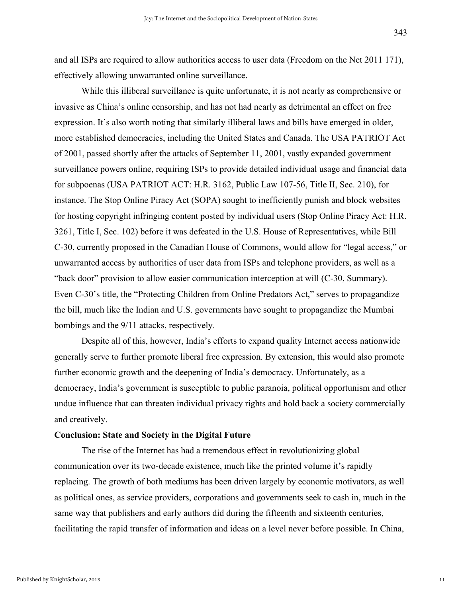and all ISPs are required to allow authorities access to user data (Freedom on the Net 2011 171), effectively allowing unwarranted online surveillance.

While this illiberal surveillance is quite unfortunate, it is not nearly as comprehensive or invasive as China's online censorship, and has not had nearly as detrimental an effect on free expression. It's also worth noting that similarly illiberal laws and bills have emerged in older, more established democracies, including the United States and Canada. The USA PATRIOT Act of 2001, passed shortly after the attacks of September 11, 2001, vastly expanded government surveillance powers online, requiring ISPs to provide detailed individual usage and financial data for subpoenas (USA PATRIOT ACT: H.R. 3162, Public Law 107-56, Title II, Sec. 210), for instance. The Stop Online Piracy Act (SOPA) sought to inefficiently punish and block websites for hosting copyright infringing content posted by individual users (Stop Online Piracy Act: H.R. 3261, Title I, Sec. 102) before it was defeated in the U.S. House of Representatives, while Bill C-30, currently proposed in the Canadian House of Commons, would allow for "legal access," or unwarranted access by authorities of user data from ISPs and telephone providers, as well as a "back door" provision to allow easier communication interception at will (C-30, Summary). Even C-30's title, the "Protecting Children from Online Predators Act," serves to propagandize the bill, much like the Indian and U.S. governments have sought to propagandize the Mumbai bombings and the 9/11 attacks, respectively.

Despite all of this, however, India's efforts to expand quality Internet access nationwide generally serve to further promote liberal free expression. By extension, this would also promote further economic growth and the deepening of India's democracy. Unfortunately, as a democracy, India's government is susceptible to public paranoia, political opportunism and other undue influence that can threaten individual privacy rights and hold back a society commercially and creatively.

#### **Conclusion: State and Society in the Digital Future**

The rise of the Internet has had a tremendous effect in revolutionizing global communication over its two-decade existence, much like the printed volume it's rapidly replacing. The growth of both mediums has been driven largely by economic motivators, as well as political ones, as service providers, corporations and governments seek to cash in, much in the same way that publishers and early authors did during the fifteenth and sixteenth centuries, facilitating the rapid transfer of information and ideas on a level never before possible. In China,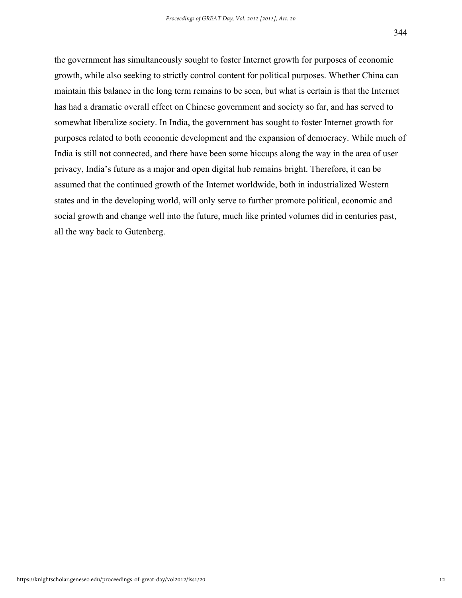the government has simultaneously sought to foster Internet growth for purposes of economic growth, while also seeking to strictly control content for political purposes. Whether China can maintain this balance in the long term remains to be seen, but what is certain is that the Internet has had a dramatic overall effect on Chinese government and society so far, and has served to somewhat liberalize society. In India, the government has sought to foster Internet growth for purposes related to both economic development and the expansion of democracy. While much of India is still not connected, and there have been some hiccups along the way in the area of user privacy, India's future as a major and open digital hub remains bright. Therefore, it can be assumed that the continued growth of the Internet worldwide, both in industrialized Western states and in the developing world, will only serve to further promote political, economic and social growth and change well into the future, much like printed volumes did in centuries past, all the way back to Gutenberg.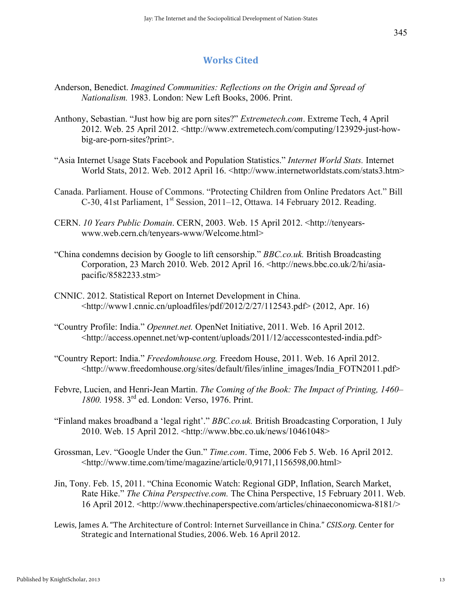### **Works Cited**

- Anderson, Benedict. *Imagined Communities: Reflections on the Origin and Spread of Nationalism.* 1983. London: New Left Books, 2006. Print.
- Anthony, Sebastian. "Just how big are porn sites?" *Extremetech.com*. Extreme Tech, 4 April 2012. Web. 25 April 2012. <http://www.extremetech.com/computing/123929-just-howbig-are-porn-sites?print>.
- "Asia Internet Usage Stats Facebook and Population Statistics." *Internet World Stats.* Internet World Stats, 2012. Web. 2012 April 16. <http://www.internetworldstats.com/stats3.htm>
- Canada. Parliament. House of Commons. "Protecting Children from Online Predators Act." Bill C-30, 41st Parliament, 1<sup>st</sup> Session, 2011–12, Ottawa. 14 February 2012. Reading.
- CERN. *10 Years Public Domain*. CERN, 2003. Web. 15 April 2012. <http://tenyearswww.web.cern.ch/tenyears-www/Welcome.html>
- "China condemns decision by Google to lift censorship." *BBC.co.uk.* British Broadcasting Corporation, 23 March 2010. Web. 2012 April 16. <http://news.bbc.co.uk/2/hi/asiapacific/8582233.stm>
- CNNIC. 2012. Statistical Report on Internet Development in China. <http://www1.cnnic.cn/uploadfiles/pdf/2012/2/27/112543.pdf> (2012, Apr. 16)
- "Country Profile: India." *Opennet.net.* OpenNet Initiative, 2011. Web. 16 April 2012. <http://access.opennet.net/wp-content/uploads/2011/12/accesscontested-india.pdf>
- "Country Report: India." *Freedomhouse.org.* Freedom House, 2011. Web. 16 April 2012. <http://www.freedomhouse.org/sites/default/files/inline\_images/India\_FOTN2011.pdf>
- Febvre, Lucien, and Henri-Jean Martin. *The Coming of the Book: The Impact of Printing, 1460– 1800.* 1958. 3rd ed. London: Verso, 1976. Print.
- "Finland makes broadband a 'legal right'." *BBC.co.uk.* British Broadcasting Corporation, 1 July 2010. Web. 15 April 2012. <http://www.bbc.co.uk/news/10461048>
- Grossman, Lev. "Google Under the Gun." *Time.com*. Time, 2006 Feb 5. Web. 16 April 2012. <http://www.time.com/time/magazine/article/0,9171,1156598,00.html>
- Jin, Tony. Feb. 15, 2011. "China Economic Watch: Regional GDP, Inflation, Search Market, Rate Hike." *The China Perspective.com.* The China Perspective, 15 February 2011. Web. 16 April 2012. <http://www.thechinaperspective.com/articles/chinaeconomicwa-8181/>
- Lewis, James A. "The Architecture of Control: Internet Surveillance in China." *CSIS.org.* Center for Strategic and International Studies, 2006. Web. 16 April 2012.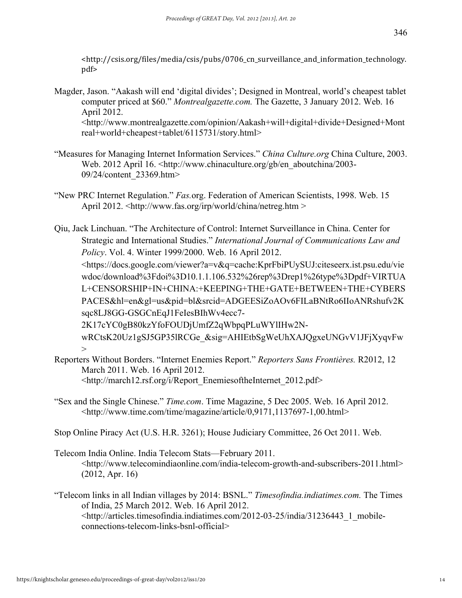<http://csis.org/files/media/csis/pubs/0706\_cn\_surveillance\_and\_information\_technology. pdf> 

- Magder, Jason. "Aakash will end 'digital divides'; Designed in Montreal, world's cheapest tablet computer priced at \$60." *Montrealgazette.com.* The Gazette, 3 January 2012. Web. 16 April 2012. <http://www.montrealgazette.com/opinion/Aakash+will+digital+divide+Designed+Mont real+world+cheapest+tablet/6115731/story.html>
- "Measures for Managing Internet Information Services." *China Culture.org* China Culture, 2003. Web. 2012 April 16. <http://www.chinaculture.org/gb/en\_aboutchina/2003-09/24/content\_23369.htm>
- "New PRC Internet Regulation." *Fas.*org. Federation of American Scientists, 1998. Web. 15 April 2012. <http://www.fas.org/irp/world/china/netreg.htm >

Qiu, Jack Linchuan. "The Architecture of Control: Internet Surveillance in China. Center for Strategic and International Studies." *International Journal of Communications Law and Policy*. Vol. 4. Winter 1999/2000. Web. 16 April 2012. <https://docs.google.com/viewer?a=v&q=cache:KprFbiPUySUJ:citeseerx.ist.psu.edu/vie wdoc/download%3Fdoi%3D10.1.1.106.532%26rep%3Drep1%26type%3Dpdf+VIRTUA L+CENSORSHIP+IN+CHINA:+KEEPING+THE+GATE+BETWEEN+THE+CYBERS PACES&hl=en&gl=us&pid=bl&srcid=ADGEESiZoAOv6FILaBNtRo6IIoANRshufv2K sqc8LJ8GG-GSGCnEqJ1FeIesBIhWv4ecc7- 2K17cYC0gB80kzYfoFOUDjUmfZ2qWbpqPLuWYlIHw2N-

wRCtsK20Uz1gSJ5GP35lRCGe\_&sig=AHIEtbSgWeUhXAJQgxeUNGvV1JFjXyqvFw >

- Reporters Without Borders. "Internet Enemies Report." *Reporters Sans Frontières.* R2012, 12 March 2011. Web. 16 April 2012. <http://march12.rsf.org/i/Report\_EnemiesoftheInternet\_2012.pdf>
- "Sex and the Single Chinese." *Time.com*. Time Magazine, 5 Dec 2005. Web. 16 April 2012. <http://www.time.com/time/magazine/article/0,9171,1137697-1,00.html>
- Stop Online Piracy Act (U.S. H.R. 3261); House Judiciary Committee, 26 Oct 2011. Web.
- Telecom India Online. India Telecom Stats—February 2011. <http://www.telecomindiaonline.com/india-telecom-growth-and-subscribers-2011.html> (2012, Apr. 16)
- "Telecom links in all Indian villages by 2014: BSNL." *Timesofindia.indiatimes.com.* The Times of India, 25 March 2012. Web. 16 April 2012. <http://articles.timesofindia.indiatimes.com/2012-03-25/india/31236443\_1\_mobileconnections-telecom-links-bsnl-official>